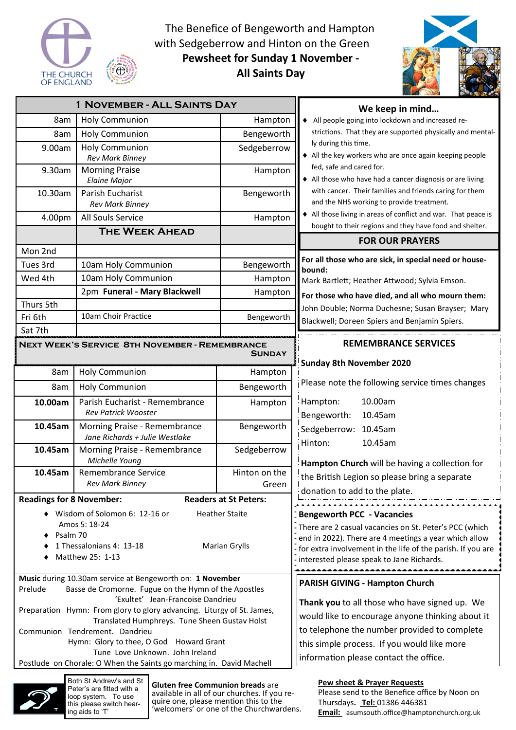

The Benefice of Bengeworth and Hampton with Sedgeberrow and Hinton on the Green **Pewsheet for Sunday 1 November - All Saints Day** 



| 1 NOVEMBER - ALL SAINTS DAY                                                                                 |                                                                |               | We keep in mind                                                                                      |  |
|-------------------------------------------------------------------------------------------------------------|----------------------------------------------------------------|---------------|------------------------------------------------------------------------------------------------------|--|
| 8am                                                                                                         | <b>Holy Communion</b>                                          | Hampton       | All people going into lockdown and increased re-                                                     |  |
| 8am                                                                                                         | <b>Holy Communion</b>                                          | Bengeworth    | strictions. That they are supported physically and mental-                                           |  |
| 9.00am                                                                                                      | <b>Holy Communion</b><br><b>Rev Mark Binney</b>                | Sedgeberrow   | ly during this time.<br>• All the key workers who are once again keeping people                      |  |
| 9.30am                                                                                                      | <b>Morning Praise</b><br><b>Elaine Major</b>                   | Hampton       | fed, safe and cared for.<br>All those who have had a cancer diagnosis or are living                  |  |
| 10.30am                                                                                                     | Parish Eucharist<br><b>Rev Mark Binney</b>                     | Bengeworth    | with cancer. Their families and friends caring for them<br>and the NHS working to provide treatment. |  |
| 4.00pm                                                                                                      | All Souls Service                                              | Hampton       | All those living in areas of conflict and war. That peace is                                         |  |
|                                                                                                             | <b>THE WEEK AHEAD</b>                                          |               | bought to their regions and they have food and shelter.<br><b>FOR OUR PRAYERS</b>                    |  |
| Mon 2nd                                                                                                     |                                                                |               |                                                                                                      |  |
| Tues 3rd                                                                                                    | 10am Holy Communion                                            | Bengeworth    | For all those who are sick, in special need or house-                                                |  |
| Wed 4th                                                                                                     | 10am Holy Communion                                            | Hampton       | bound:<br>Mark Bartlett; Heather Attwood; Sylvia Emson.                                              |  |
|                                                                                                             | 2pm Funeral - Mary Blackwell                                   | Hampton       |                                                                                                      |  |
| Thurs 5th                                                                                                   |                                                                |               | For those who have died, and all who mourn them:<br>John Double; Norma Duchesne; Susan Brayser; Mary |  |
| Fri 6th                                                                                                     | 10am Choir Practice                                            | Bengeworth    | Blackwell; Doreen Spiers and Benjamin Spiers.                                                        |  |
| Sat 7th                                                                                                     |                                                                |               |                                                                                                      |  |
| NEXT WEEK'S SERVICE 8TH NOVEMBER - REMEMBRANCE                                                              |                                                                |               | <b>REMEMBRANCE SERVICES</b>                                                                          |  |
|                                                                                                             |                                                                | <b>SUNDAY</b> | <b>Sunday 8th November 2020</b>                                                                      |  |
| 8am                                                                                                         | <b>Holy Communion</b>                                          | Hampton       |                                                                                                      |  |
| 8am                                                                                                         | <b>Holy Communion</b>                                          | Bengeworth    | Please note the following service times changes                                                      |  |
| 10.00am                                                                                                     | Parish Eucharist - Remembrance<br><b>Rev Patrick Wooster</b>   | Hampton       | Hampton:<br>10.00am<br>Bengeworth:<br>10.45am                                                        |  |
| 10.45am                                                                                                     | Morning Praise - Remembrance<br>Jane Richards + Julie Westlake | Bengeworth    | Sedgeberrow: 10.45am                                                                                 |  |
| 10.45am                                                                                                     | Morning Praise - Remembrance<br>Michelle Young                 | Sedgeberrow   | Hinton:<br>10.45am                                                                                   |  |
| 10.45am                                                                                                     | Remembrance Service                                            | Hinton on the | Hampton Church will be having a collection for                                                       |  |
|                                                                                                             | <b>Rev Mark Binney</b>                                         | Green         | the British Legion so please bring a separate                                                        |  |
| <b>Readings for 8 November:</b><br><b>Readers at St Peters:</b>                                             |                                                                |               | donation to add to the plate.                                                                        |  |
| • Wisdom of Solomon 6: 12-16 or<br><b>Heather Staite</b>                                                    |                                                                |               | <b>Bengeworth PCC - Vacancies</b>                                                                    |  |
|                                                                                                             | Amos 5: 18-24                                                  |               | There are 2 casual vacancies on St. Peter's PCC (which                                               |  |
| Psalm 70                                                                                                    |                                                                |               | end in 2022). There are 4 meetings a year which allow                                                |  |
| 1 Thessalonians 4: 13-18<br><b>Marian Grylls</b><br>Matthew 25: 1-13                                        |                                                                |               | for extra involvement in the life of the parish. If you are                                          |  |
|                                                                                                             |                                                                |               | interested please speak to Jane Richards.                                                            |  |
| Music during 10.30am service at Bengeworth on: 1 November                                                   |                                                                |               | PARISH GIVING - Hampton Church                                                                       |  |
| Basse de Cromorne. Fugue on the Hymn of the Apostles<br>Prelude                                             |                                                                |               |                                                                                                      |  |
| 'Exultet' Jean-Francoise Dandrieu<br>Preparation Hymn: From glory to glory advancing. Liturgy of St. James, |                                                                |               | Thank you to all those who have signed up. We                                                        |  |
| Translated Humphreys. Tune Sheen Gustav Holst                                                               |                                                                |               | would like to encourage anyone thinking about it                                                     |  |
| Communion Tendrement. Dandrieu                                                                              |                                                                |               | to telephone the number provided to complete                                                         |  |
| Hymn: Glory to thee, O God Howard Grant                                                                     |                                                                |               | this simple process. If you would like more                                                          |  |
| Tune Love Unknown. John Ireland<br>Postlude on Chorale: O When the Saints go marching in. David Machell     |                                                                |               | information please contact the office.                                                               |  |
| $Dath C+ Androule and C+$                                                                                   |                                                                |               |                                                                                                      |  |



oth St Andrew's and St Peter's are fitted with a loop system. To use this please switch hearing aids to 'T'

**Gluten free Communion breads** are available in all of our churches. If you require one, please mention this to the 'welcomers' or one of the Churchwardens. **Pew sheet & Prayer Requests** 

Please send to the Benefice office by Noon on Thursdays**. Tel:** 01386 446381 **Email:** asumsouth.office@hamptonchurch.org.uk